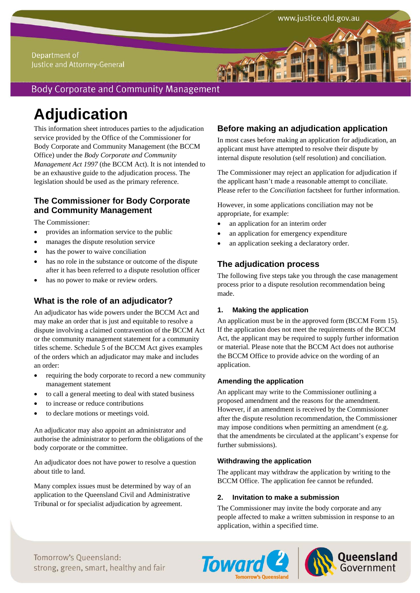### Department of Justice and Attorney-General

## **Body Corporate and Community Management**

# **Adjudication**

This information sheet introduces parties to the adjudication service provided by the Office of the Commissioner for Body Corporate and Community Management (the BCCM Office) under the *Body Corporate and Community Management Act 1997* (the BCCM Act). It is not intended to be an exhaustive guide to the adjudication process. The legislation should be used as the primary reference.

## **The Commissioner for Body Corporate and Community Management**

The Commissioner:

- provides an information service to the public
- manages the dispute resolution service
- has the power to waive conciliation
- has no role in the substance or outcome of the dispute after it has been referred to a dispute resolution officer
- has no power to make or review orders.

## **What is the role of an adjudicator?**

An adjudicator has wide powers under the BCCM Act and may make an order that is just and equitable to resolve a dispute involving a claimed contravention of the BCCM Act or the community management statement for a community titles scheme. Schedule 5 of the BCCM Act gives examples of the orders which an adjudicator may make and includes an order:

- requiring the body corporate to record a new community management statement
- to call a general meeting to deal with stated business
- to increase or reduce contributions
- to declare motions or meetings void.

An adjudicator may also appoint an administrator and authorise the administrator to perform the obligations of the body corporate or the committee.

An adjudicator does not have power to resolve a question about title to land.

Many complex issues must be determined by way of an application to the Queensland Civil and Administrative Tribunal or for specialist adjudication by agreement.

## **Before making an adjudication application**

In most cases before making an application for adjudication, an applicant must have attempted to resolve their dispute by internal dispute resolution (self resolution) and conciliation.

The Commissioner may reject an application for adjudication if the applicant hasn't made a reasonable attempt to conciliate. Please refer to the *Conciliation* factsheet for further information.

However, in some applications conciliation may not be appropriate, for example:

- an application for an interim order
- an application for emergency expenditure
- an application seeking a declaratory order.

## **The adjudication process**

The following five steps take you through the case management process prior to a dispute resolution recommendation being made.

#### **1. Making the application**

An application must be in the approved form (BCCM Form 15). If the application does not meet the requirements of the BCCM Act, the applicant may be required to supply further information or material. Please note that the BCCM Act does not authorise the BCCM Office to provide advice on the wording of an application.

#### **Amending the application**

An applicant may write to the Commissioner outlining a proposed amendment and the reasons for the amendment. However, if an amendment is received by the Commissioner after the dispute resolution recommendation, the Commissioner may impose conditions when permitting an amendment (e.g. that the amendments be circulated at the applicant's expense for further submissions).

#### **Withdrawing the application**

The applicant may withdraw the application by writing to the BCCM Office. The application fee cannot be refunded.

#### **2. Invitation to make a submission**

The Commissioner may invite the body corporate and any people affected to make a written submission in response to an application, within a specified time.

Tomorrow's Oueensland: strong, green, smart, healthy and fair



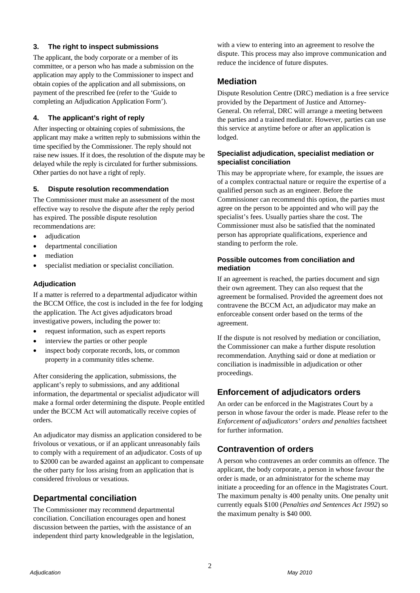#### **3. The right to inspect submissions**

The applicant, the body corporate or a member of its committee, or a person who has made a submission on the application may apply to the Commissioner to inspect and obtain copies of the application and all submissions, on payment of the prescribed fee (refer to the 'Guide to completing an Adjudication Application Form').

#### **4. The applicant's right of reply**

After inspecting or obtaining copies of submissions, the applicant may make a written reply to submissions within the time specified by the Commissioner. The reply should not raise new issues. If it does, the resolution of the dispute may be delayed while the reply is circulated for further submissions. Other parties do not have a right of reply.

#### **5. Dispute resolution recommendation**

The Commissioner must make an assessment of the most effective way to resolve the dispute after the reply period has expired. The possible dispute resolution recommendations are:

- adjudication
- departmental conciliation
- mediation
- specialist mediation or specialist conciliation.

#### **Adjudication**

If a matter is referred to a departmental adjudicator within the BCCM Office, the cost is included in the fee for lodging the application. The Act gives adjudicators broad investigative powers, including the power to:

- request information, such as expert reports
- interview the parties or other people
- inspect body corporate records, lots, or common property in a community titles scheme.

After considering the application, submissions, the applicant's reply to submissions, and any additional information, the departmental or specialist adjudicator will make a formal order determining the dispute. People entitled under the BCCM Act will automatically receive copies of orders.

An adjudicator may dismiss an application considered to be frivolous or vexatious, or if an applicant unreasonably fails to comply with a requirement of an adjudicator. Costs of up to \$2000 can be awarded against an applicant to compensate the other party for loss arising from an application that is considered frivolous or vexatious.

## **Departmental conciliation**

The Commissioner may recommend departmental conciliation. Conciliation encourages open and honest discussion between the parties, with the assistance of an independent third party knowledgeable in the legislation, with a view to entering into an agreement to resolve the dispute. This process may also improve communication and reduce the incidence of future disputes.

## **Mediation**

Dispute Resolution Centre (DRC) mediation is a free service provided by the Department of Justice and Attorney-General. On referral, DRC will arrange a meeting between the parties and a trained mediator. However, parties can use this service at anytime before or after an application is lodged.

#### **Specialist adjudication, specialist mediation or specialist conciliation**

This may be appropriate where, for example, the issues are of a complex contractual nature or require the expertise of a qualified person such as an engineer. Before the Commissioner can recommend this option, the parties must agree on the person to be appointed and who will pay the specialist's fees. Usually parties share the cost. The Commissioner must also be satisfied that the nominated person has appropriate qualifications, experience and standing to perform the role.

#### **Possible outcomes from conciliation and mediation**

If an agreement is reached, the parties document and sign their own agreement. They can also request that the agreement be formalised. Provided the agreement does not contravene the BCCM Act, an adjudicator may make an enforceable consent order based on the terms of the agreement.

If the dispute is not resolved by mediation or conciliation, the Commissioner can make a further dispute resolution recommendation. Anything said or done at mediation or conciliation is inadmissible in adjudication or other proceedings.

## **Enforcement of adjudicators orders**

An order can be enforced in the Magistrates Court by a person in whose favour the order is made. Please refer to the *Enforcement of adjudicators' orders and penalties* factsheet for further information.

## **Contravention of orders**

A person who contravenes an order commits an offence. The applicant, the body corporate, a person in whose favour the order is made, or an administrator for the scheme may initiate a proceeding for an offence in the Magistrates Court. The maximum penalty is 400 penalty units. One penalty unit currently equals \$100 (*Penalties and Sentences Act 1992*) so the maximum penalty is \$40 000.